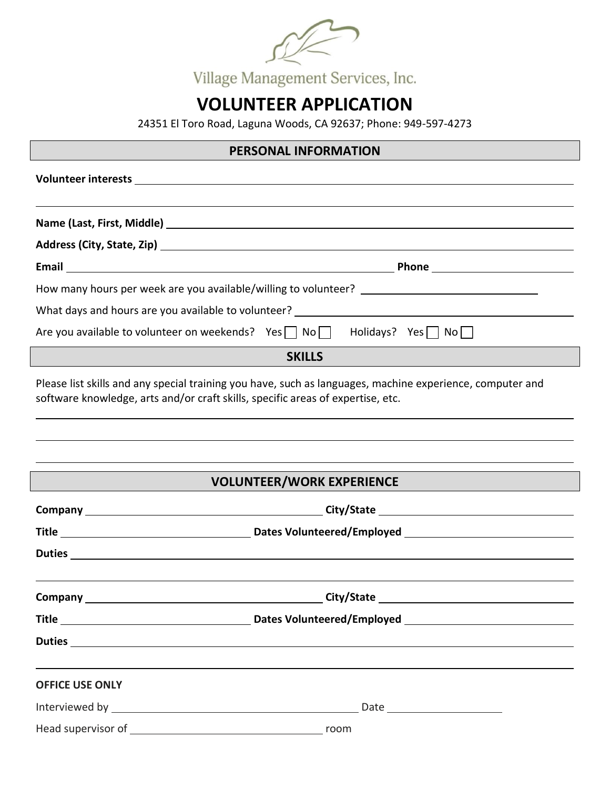| Village Management Services, Inc. |
|-----------------------------------|

# **VOLUNTEER APPLICATION**

24351 El Toro Road, Laguna Woods, CA 92637; Phone: 949-597-4273

## **PERSONAL INFORMATION**

| What days and hours are you available to volunteer? ____________________________                                                                                                             |  |
|----------------------------------------------------------------------------------------------------------------------------------------------------------------------------------------------|--|
| Are you available to volunteer on weekends? Yes $\Box$ No $\Box$ Holidays? Yes $\Box$ No $\Box$                                                                                              |  |
| <b>SKILLS</b>                                                                                                                                                                                |  |
| Please list skills and any special training you have, such as languages, machine experience, computer and<br>software knowledge, arts and/or craft skills, specific areas of expertise, etc. |  |

# **VOLUNTEER/WORK EXPERIENCE**

| <b>OFFICE USE ONLY</b> |  |
|------------------------|--|
|                        |  |
|                        |  |